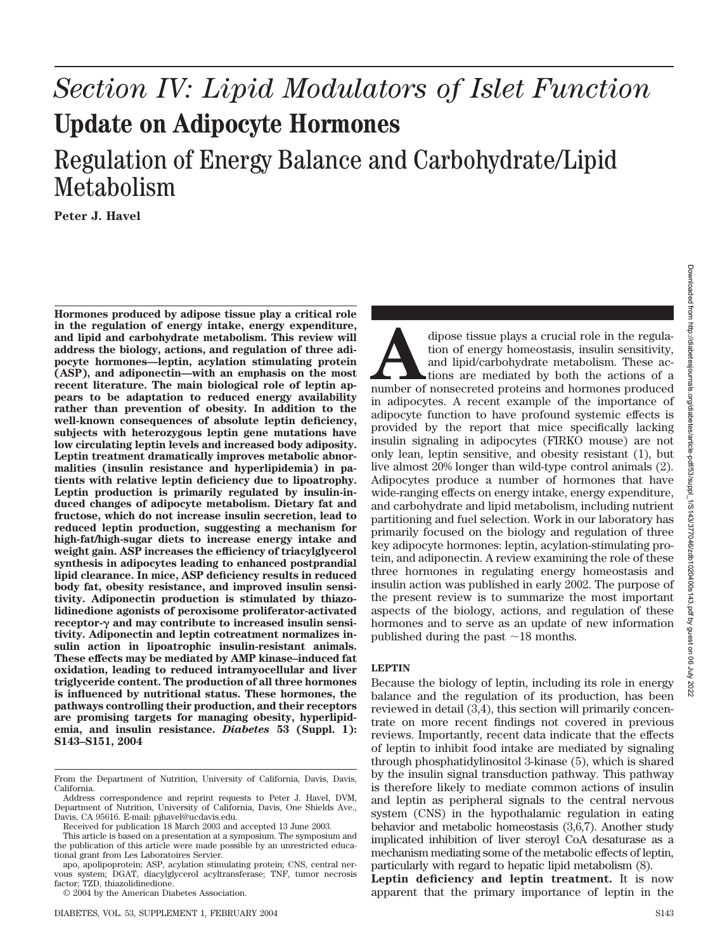**July 2022** 

# *Section IV: Lipid Modulators of Islet Function* **Update on Adipocyte Hormones** Regulation of Energy Balance and Carbohydrate/Lipid Metabolism

**Peter J. Havel**

**Hormones produced by adipose tissue play a critical role in the regulation of energy intake, energy expenditure, and lipid and carbohydrate metabolism. This review will address the biology, actions, and regulation of three adipocyte hormones—leptin, acylation stimulating protein (ASP), and adiponectin—with an emphasis on the most recent literature. The main biological role of leptin appears to be adaptation to reduced energy availability rather than prevention of obesity. In addition to the well-known consequences of absolute leptin deficiency, subjects with heterozygous leptin gene mutations have low circulating leptin levels and increased body adiposity. Leptin treatment dramatically improves metabolic abnormalities (insulin resistance and hyperlipidemia) in patients with relative leptin deficiency due to lipoatrophy. Leptin production is primarily regulated by insulin-induced changes of adipocyte metabolism. Dietary fat and fructose, which do not increase insulin secretion, lead to reduced leptin production, suggesting a mechanism for high-fat/high-sugar diets to increase energy intake and weight gain. ASP increases the efficiency of triacylglycerol synthesis in adipocytes leading to enhanced postprandial lipid clearance. In mice, ASP deficiency results in reduced body fat, obesity resistance, and improved insulin sensitivity. Adiponectin production is stimulated by thiazolidinedione agonists of peroxisome proliferator-activated** receptor- $\gamma$  and may contribute to increased insulin sensi**tivity. Adiponectin and leptin cotreatment normalizes insulin action in lipoatrophic insulin-resistant animals. These effects may be mediated by AMP kinase–induced fat oxidation, leading to reduced intramyocellular and liver triglyceride content. The production of all three hormones is influenced by nutritional status. These hormones, the pathways controlling their production, and their receptors are promising targets for managing obesity, hyperlipidemia, and insulin resistance.** *Diabetes* **53 (Suppl. 1): S143–S151, 2004**

© 2004 by the American Diabetes Association.

dipose tissue plays a crucial role in the regulation of energy homeostasis, insulin sensitivity, and lipid/carbohydrate metabolism. These actions are mediated by both the actions of a number of nonsecreted proteins and hor tion of energy homeostasis, insulin sensitivity, and lipid/carbohydrate metabolism. These actions are mediated by both the actions of a in adipocytes. A recent example of the importance of adipocyte function to have profound systemic effects is provided by the report that mice specifically lacking insulin signaling in adipocytes (FIRKO mouse) are not only lean, leptin sensitive, and obesity resistant (1), but live almost 20% longer than wild-type control animals (2). Adipocytes produce a number of hormones that have wide-ranging effects on energy intake, energy expenditure, and carbohydrate and lipid metabolism, including nutrient partitioning and fuel selection. Work in our laboratory has primarily focused on the biology and regulation of three key adipocyte hormones: leptin, acylation-stimulating protein, and adiponectin. A review examining the role of these three hormones in regulating energy homeostasis and insulin action was published in early 2002. The purpose of the present review is to summarize the most important aspects of the biology, actions, and regulation of these hormones and to serve as an update of new information published during the past  $\sim$  18 months.

#### **LEPTIN**

Because the biology of leptin, including its role in energy balance and the regulation of its production, has been reviewed in detail (3,4), this section will primarily concentrate on more recent findings not covered in previous reviews. Importantly, recent data indicate that the effects of leptin to inhibit food intake are mediated by signaling through phosphatidylinositol 3-kinase (5), which is shared by the insulin signal transduction pathway. This pathway is therefore likely to mediate common actions of insulin and leptin as peripheral signals to the central nervous system (CNS) in the hypothalamic regulation in eating behavior and metabolic homeostasis (3,6,7). Another study implicated inhibition of liver steroyl CoA desaturase as a mechanism mediating some of the metabolic effects of leptin, particularly with regard to hepatic lipid metabolism (8).

**Leptin deficiency and leptin treatment.** It is now apparent that the primary importance of leptin in the

From the Department of Nutrition, University of California, Davis, Davis, California.

Address correspondence and reprint requests to Peter J. Havel, DVM, Department of Nutrition, University of California, Davis, One Shields Ave., Davis, CA 95616. E-mail: pjhavel@ucdavis.edu.

Received for publication 18 March 2003 and accepted 13 June 2003.

This article is based on a presentation at a symposium. The symposium and the publication of this article were made possible by an unrestricted educational grant from Les Laboratoires Servier.

apo, apolipoprotein; ASP, acylation stimulating protein; CNS, central nervous system; DGAT, diacylglycerol acyltransferase; TNF, tumor necrosis factor; TZD, thiazolidinedione.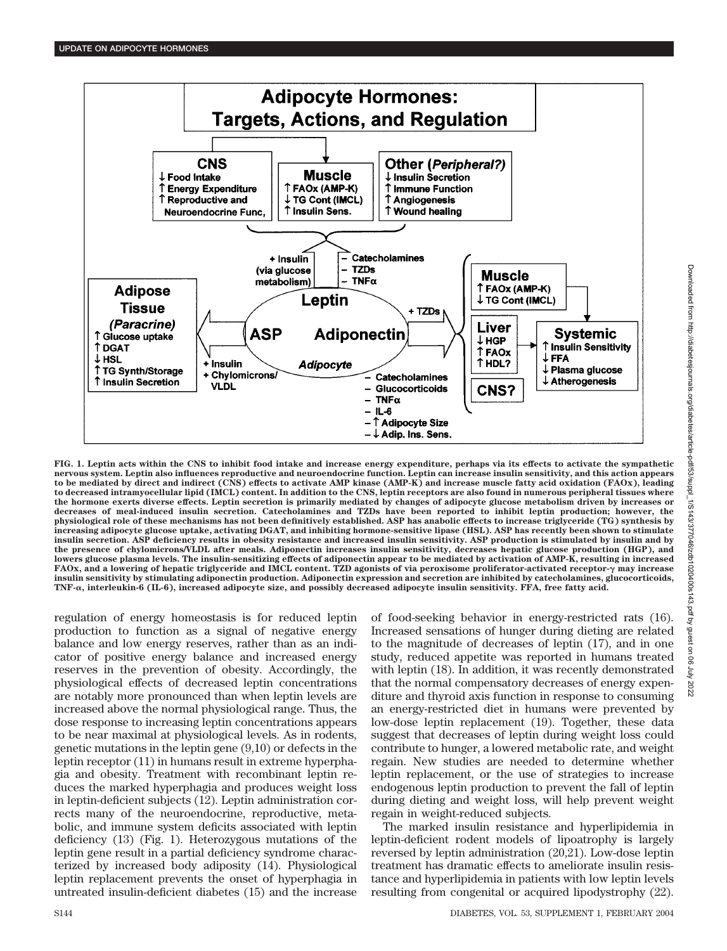

**FIG. 1. Leptin acts within the CNS to inhibit food intake and increase energy expenditure, perhaps via its effects to activate the sympathetic nervous system. Leptin also influences reproductive and neuroendocrine function. Leptin can increase insulin sensitivity, and this action appears to be mediated by direct and indirect (CNS) effects to activate AMP kinase (AMP-K) and increase muscle fatty acid oxidation (FAOx), leading to decreased intramyocellular lipid (IMCL) content. In addition to the CNS, leptin receptors are also found in numerous peripheral tissues where the hormone exerts diverse effects. Leptin secretion is primarily mediated by changes of adipocyte glucose metabolism driven by increases or decreases of meal-induced insulin secretion. Catecholamines and TZDs have been reported to inhibit leptin production; however, the physiological role of these mechanisms has not been definitively established. ASP has anabolic effects to increase triglyceride (TG) synthesis by increasing adipocyte glucose uptake, activating DGAT, and inhibiting hormone-sensitive lipase (HSL). ASP has recently been shown to stimulate insulin secretion. ASP deficiency results in obesity resistance and increased insulin sensitivity. ASP production is stimulated by insulin and by the presence of chylomicrons/VLDL after meals. Adiponectin increases insulin sensitivity, decreases hepatic glucose production (HGP), and lowers glucose plasma levels. The insulin-sensitizing effects of adiponectin appear to be mediated by activation of AMP-K, resulting in increased FAOx, and a lowering of hepatic triglyceride and IMCL content. TZD agonists of via peroxisome proliferator-activated receptor- may increase insulin sensitivity by stimulating adiponectin production. Adiponectin expression and secretion are inhibited by catecholamines, glucocorticoids, TNF-**-**, interleukin-6 (IL-6), increased adipocyte size, and possibly decreased adipocyte insulin sensitivity. FFA, free fatty acid.**

regulation of energy homeostasis is for reduced leptin production to function as a signal of negative energy balance and low energy reserves, rather than as an indicator of positive energy balance and increased energy reserves in the prevention of obesity. Accordingly, the physiological effects of decreased leptin concentrations are notably more pronounced than when leptin levels are increased above the normal physiological range. Thus, the dose response to increasing leptin concentrations appears to be near maximal at physiological levels. As in rodents, genetic mutations in the leptin gene (9,10) or defects in the leptin receptor (11) in humans result in extreme hyperphagia and obesity. Treatment with recombinant leptin reduces the marked hyperphagia and produces weight loss in leptin-deficient subjects (12). Leptin administration corrects many of the neuroendocrine, reproductive, metabolic, and immune system deficits associated with leptin deficiency (13) (Fig. 1). Heterozygous mutations of the leptin gene result in a partial deficiency syndrome characterized by increased body adiposity (14). Physiological leptin replacement prevents the onset of hyperphagia in untreated insulin-deficient diabetes (15) and the increase

of food-seeking behavior in energy-restricted rats (16). Increased sensations of hunger during dieting are related to the magnitude of decreases of leptin (17), and in one study, reduced appetite was reported in humans treated with leptin (18). In addition, it was recently demonstrated that the normal compensatory decreases of energy expenditure and thyroid axis function in response to consuming an energy-restricted diet in humans were prevented by low-dose leptin replacement (19). Together, these data suggest that decreases of leptin during weight loss could contribute to hunger, a lowered metabolic rate, and weight regain. New studies are needed to determine whether leptin replacement, or the use of strategies to increase endogenous leptin production to prevent the fall of leptin during dieting and weight loss, will help prevent weight regain in weight-reduced subjects.

The marked insulin resistance and hyperlipidemia in leptin-deficient rodent models of lipoatrophy is largely reversed by leptin administration (20,21). Low-dose leptin treatment has dramatic effects to ameliorate insulin resistance and hyperlipidemia in patients with low leptin levels resulting from congenital or acquired lipodystrophy (22).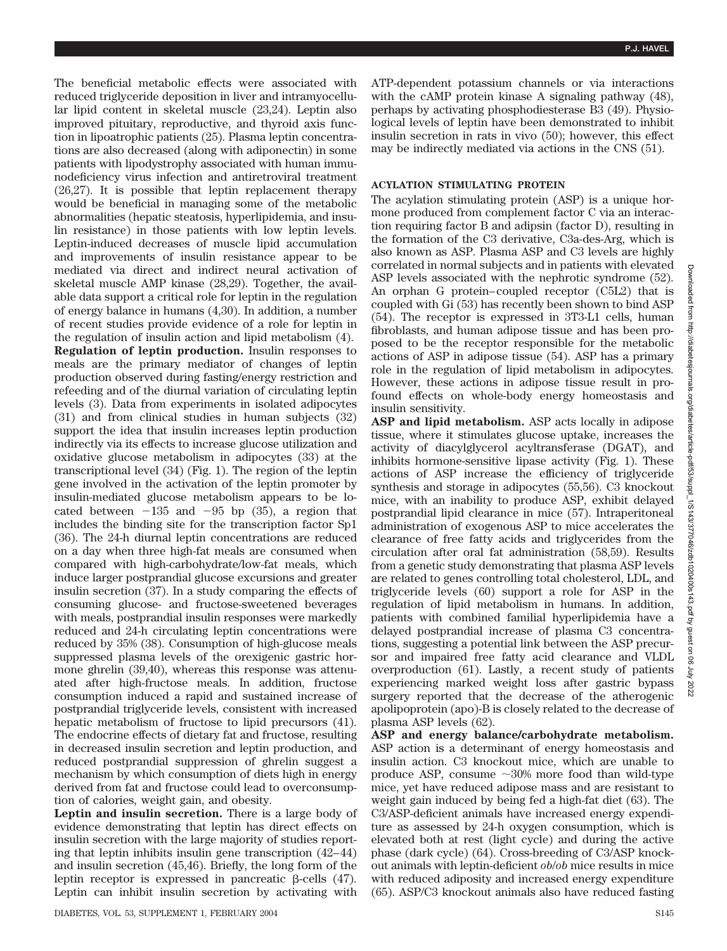The beneficial metabolic effects were associated with reduced triglyceride deposition in liver and intramyocellular lipid content in skeletal muscle (23,24). Leptin also improved pituitary, reproductive, and thyroid axis function in lipoatrophic patients (25). Plasma leptin concentrations are also decreased (along with adiponectin) in some patients with lipodystrophy associated with human immunodeficiency virus infection and antiretroviral treatment (26,27). It is possible that leptin replacement therapy would be beneficial in managing some of the metabolic abnormalities (hepatic steatosis, hyperlipidemia, and insulin resistance) in those patients with low leptin levels. Leptin-induced decreases of muscle lipid accumulation and improvements of insulin resistance appear to be mediated via direct and indirect neural activation of skeletal muscle AMP kinase (28,29). Together, the available data support a critical role for leptin in the regulation of energy balance in humans (4,30). In addition, a number of recent studies provide evidence of a role for leptin in the regulation of insulin action and lipid metabolism (4). **Regulation of leptin production.** Insulin responses to meals are the primary mediator of changes of leptin production observed during fasting/energy restriction and refeeding and of the diurnal variation of circulating leptin levels (3). Data from experiments in isolated adipocytes (31) and from clinical studies in human subjects (32) support the idea that insulin increases leptin production indirectly via its effects to increase glucose utilization and oxidative glucose metabolism in adipocytes (33) at the transcriptional level (34) (Fig. 1). The region of the leptin gene involved in the activation of the leptin promoter by insulin-mediated glucose metabolism appears to be located between  $-135$  and  $-95$  bp (35), a region that includes the binding site for the transcription factor Sp1 (36). The 24-h diurnal leptin concentrations are reduced on a day when three high-fat meals are consumed when compared with high-carbohydrate/low-fat meals, which induce larger postprandial glucose excursions and greater insulin secretion (37). In a study comparing the effects of consuming glucose- and fructose-sweetened beverages with meals, postprandial insulin responses were markedly reduced and 24-h circulating leptin concentrations were reduced by 35% (38). Consumption of high-glucose meals suppressed plasma levels of the orexigenic gastric hormone ghrelin (39,40), whereas this response was attenuated after high-fructose meals. In addition, fructose consumption induced a rapid and sustained increase of postprandial triglyceride levels, consistent with increased hepatic metabolism of fructose to lipid precursors (41). The endocrine effects of dietary fat and fructose, resulting in decreased insulin secretion and leptin production, and reduced postprandial suppression of ghrelin suggest a mechanism by which consumption of diets high in energy derived from fat and fructose could lead to overconsumption of calories, weight gain, and obesity.

**Leptin and insulin secretion.** There is a large body of evidence demonstrating that leptin has direct effects on insulin secretion with the large majority of studies reporting that leptin inhibits insulin gene transcription (42–44) and insulin secretion (45,46). Briefly, the long form of the leptin receptor is expressed in pancreatic  $\beta$ -cells (47). Leptin can inhibit insulin secretion by activating with

ATP-dependent potassium channels or via interactions with the cAMP protein kinase A signaling pathway (48), perhaps by activating phosphodiesterase B3 (49). Physiological levels of leptin have been demonstrated to inhibit insulin secretion in rats in vivo (50); however, this effect may be indirectly mediated via actions in the CNS (51).

# **ACYLATION STIMULATING PROTEIN**

The acylation stimulating protein (ASP) is a unique hormone produced from complement factor C via an interaction requiring factor B and adipsin (factor D), resulting in the formation of the C3 derivative, C3a-des-Arg, which is also known as ASP. Plasma ASP and C3 levels are highly correlated in normal subjects and in patients with elevated ASP levels associated with the nephrotic syndrome (52). An orphan G protein–coupled receptor (C5L2) that is coupled with Gi (53) has recently been shown to bind ASP (54). The receptor is expressed in 3T3-L1 cells, human fibroblasts, and human adipose tissue and has been proposed to be the receptor responsible for the metabolic actions of ASP in adipose tissue (54). ASP has a primary role in the regulation of lipid metabolism in adipocytes. However, these actions in adipose tissue result in profound effects on whole-body energy homeostasis and insulin sensitivity.

**ASP and lipid metabolism.** ASP acts locally in adipose tissue, where it stimulates glucose uptake, increases the activity of diacylglycerol acyltransferase (DGAT), and inhibits hormone-sensitive lipase activity (Fig. 1). These actions of ASP increase the efficiency of triglyceride synthesis and storage in adipocytes (55,56). C3 knockout mice, with an inability to produce ASP, exhibit delayed postprandial lipid clearance in mice (57). Intraperitoneal administration of exogenous ASP to mice accelerates the clearance of free fatty acids and triglycerides from the circulation after oral fat administration (58,59). Results from a genetic study demonstrating that plasma ASP levels are related to genes controlling total cholesterol, LDL, and triglyceride levels (60) support a role for ASP in the regulation of lipid metabolism in humans. In addition, patients with combined familial hyperlipidemia have a delayed postprandial increase of plasma C3 concentrations, suggesting a potential link between the ASP precursor and impaired free fatty acid clearance and VLDL overproduction (61). Lastly, a recent study of patients experiencing marked weight loss after gastric bypass surgery reported that the decrease of the atherogenic apolipoprotein (apo)-B is closely related to the decrease of plasma ASP levels (62).

**ASP and energy balance/carbohydrate metabolism.** ASP action is a determinant of energy homeostasis and insulin action. C3 knockout mice, which are unable to produce ASP, consume  $\sim 30\%$  more food than wild-type mice, yet have reduced adipose mass and are resistant to weight gain induced by being fed a high-fat diet (63). The C3/ASP-deficient animals have increased energy expenditure as assessed by 24-h oxygen consumption, which is elevated both at rest (light cycle) and during the active phase (dark cycle) (64). Cross-breeding of C3/ASP knockout animals with leptin-deficient *ob*/*ob* mice results in mice with reduced adiposity and increased energy expenditure (65). ASP/C3 knockout animals also have reduced fasting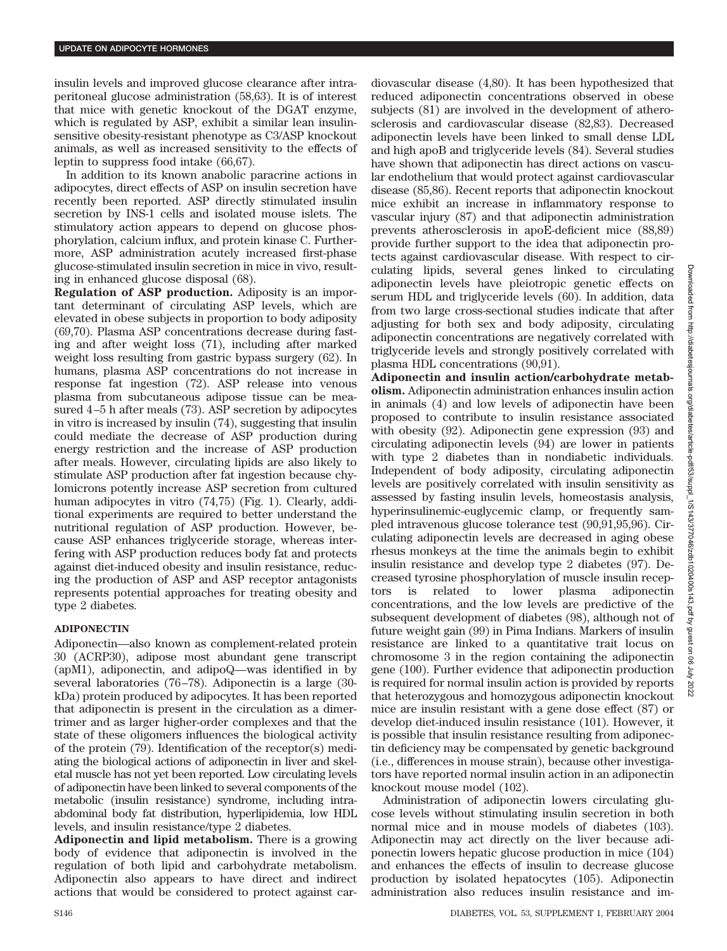insulin levels and improved glucose clearance after intraperitoneal glucose administration (58,63). It is of interest that mice with genetic knockout of the DGAT enzyme, which is regulated by ASP, exhibit a similar lean insulinsensitive obesity-resistant phenotype as C3/ASP knockout animals, as well as increased sensitivity to the effects of leptin to suppress food intake (66,67).

In addition to its known anabolic paracrine actions in adipocytes, direct effects of ASP on insulin secretion have recently been reported. ASP directly stimulated insulin secretion by INS-1 cells and isolated mouse islets. The stimulatory action appears to depend on glucose phosphorylation, calcium influx, and protein kinase C. Furthermore, ASP administration acutely increased first-phase glucose-stimulated insulin secretion in mice in vivo, resulting in enhanced glucose disposal (68).

**Regulation of ASP production.** Adiposity is an important determinant of circulating ASP levels, which are elevated in obese subjects in proportion to body adiposity (69,70). Plasma ASP concentrations decrease during fasting and after weight loss (71), including after marked weight loss resulting from gastric bypass surgery (62). In humans, plasma ASP concentrations do not increase in response fat ingestion (72). ASP release into venous plasma from subcutaneous adipose tissue can be measured 4–5 h after meals (73). ASP secretion by adipocytes in vitro is increased by insulin (74), suggesting that insulin could mediate the decrease of ASP production during energy restriction and the increase of ASP production after meals. However, circulating lipids are also likely to stimulate ASP production after fat ingestion because chylomicrons potently increase ASP secretion from cultured human adipocytes in vitro (74,75) (Fig. 1). Clearly, additional experiments are required to better understand the nutritional regulation of ASP production. However, because ASP enhances triglyceride storage, whereas interfering with ASP production reduces body fat and protects against diet-induced obesity and insulin resistance, reducing the production of ASP and ASP receptor antagonists represents potential approaches for treating obesity and type 2 diabetes.

## **ADIPONECTIN**

Adiponectin—also known as complement-related protein 30 (ACRP30), adipose most abundant gene transcript (apM1), adiponectin, and adipoQ—was identified in by several laboratories (76–78). Adiponectin is a large (30 kDa) protein produced by adipocytes. It has been reported that adiponectin is present in the circulation as a dimertrimer and as larger higher-order complexes and that the state of these oligomers influences the biological activity of the protein (79). Identification of the receptor(s) mediating the biological actions of adiponectin in liver and skeletal muscle has not yet been reported. Low circulating levels of adiponectin have been linked to several components of the metabolic (insulin resistance) syndrome, including intraabdominal body fat distribution, hyperlipidemia, low HDL levels, and insulin resistance/type 2 diabetes.

**Adiponectin and lipid metabolism.** There is a growing body of evidence that adiponectin is involved in the regulation of both lipid and carbohydrate metabolism. Adiponectin also appears to have direct and indirect actions that would be considered to protect against cardiovascular disease (4,80). It has been hypothesized that reduced adiponectin concentrations observed in obese subjects (81) are involved in the development of atherosclerosis and cardiovascular disease (82,83). Decreased adiponectin levels have been linked to small dense LDL and high apoB and triglyceride levels (84). Several studies have shown that adiponectin has direct actions on vascular endothelium that would protect against cardiovascular disease (85,86). Recent reports that adiponectin knockout mice exhibit an increase in inflammatory response to vascular injury (87) and that adiponectin administration prevents atherosclerosis in apoE-deficient mice (88,89) provide further support to the idea that adiponectin protects against cardiovascular disease. With respect to circulating lipids, several genes linked to circulating adiponectin levels have pleiotropic genetic effects on serum HDL and triglyceride levels (60). In addition, data from two large cross-sectional studies indicate that after adjusting for both sex and body adiposity, circulating adiponectin concentrations are negatively correlated with triglyceride levels and strongly positively correlated with plasma HDL concentrations (90,91).

**Adiponectin and insulin action/carbohydrate metabolism.** Adiponectin administration enhances insulin action in animals (4) and low levels of adiponectin have been proposed to contribute to insulin resistance associated with obesity (92). Adiponectin gene expression (93) and circulating adiponectin levels (94) are lower in patients with type 2 diabetes than in nondiabetic individuals. Independent of body adiposity, circulating adiponectin levels are positively correlated with insulin sensitivity as assessed by fasting insulin levels, homeostasis analysis, hyperinsulinemic-euglycemic clamp, or frequently sampled intravenous glucose tolerance test (90,91,95,96). Circulating adiponectin levels are decreased in aging obese rhesus monkeys at the time the animals begin to exhibit insulin resistance and develop type 2 diabetes (97). Decreased tyrosine phosphorylation of muscle insulin receptors is related to lower plasma adiponectin concentrations, and the low levels are predictive of the subsequent development of diabetes (98), although not of future weight gain (99) in Pima Indians. Markers of insulin resistance are linked to a quantitative trait locus on chromosome 3 in the region containing the adiponectin gene (100). Further evidence that adiponectin production is required for normal insulin action is provided by reports that heterozygous and homozygous adiponectin knockout mice are insulin resistant with a gene dose effect (87) or develop diet-induced insulin resistance (101). However, it is possible that insulin resistance resulting from adiponectin deficiency may be compensated by genetic background (i.e., differences in mouse strain), because other investigators have reported normal insulin action in an adiponectin knockout mouse model (102).

Administration of adiponectin lowers circulating glucose levels without stimulating insulin secretion in both normal mice and in mouse models of diabetes (103). Adiponectin may act directly on the liver because adiponectin lowers hepatic glucose production in mice (104) and enhances the effects of insulin to decrease glucose production by isolated hepatocytes (105). Adiponectin administration also reduces insulin resistance and im-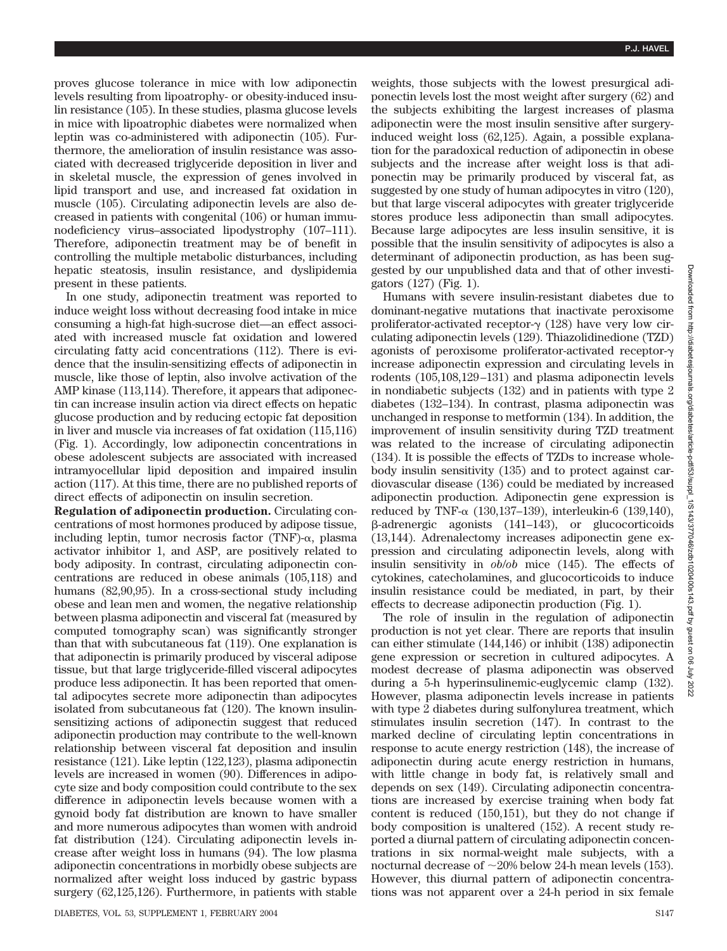proves glucose tolerance in mice with low adiponectin levels resulting from lipoatrophy- or obesity-induced insulin resistance (105). In these studies, plasma glucose levels in mice with lipoatrophic diabetes were normalized when leptin was co-administered with adiponectin (105). Furthermore, the amelioration of insulin resistance was associated with decreased triglyceride deposition in liver and in skeletal muscle, the expression of genes involved in lipid transport and use, and increased fat oxidation in muscle (105). Circulating adiponectin levels are also decreased in patients with congenital (106) or human immunodeficiency virus–associated lipodystrophy (107–111). Therefore, adiponectin treatment may be of benefit in controlling the multiple metabolic disturbances, including hepatic steatosis, insulin resistance, and dyslipidemia present in these patients.

In one study, adiponectin treatment was reported to induce weight loss without decreasing food intake in mice consuming a high-fat high-sucrose diet—an effect associated with increased muscle fat oxidation and lowered circulating fatty acid concentrations (112). There is evidence that the insulin-sensitizing effects of adiponectin in muscle, like those of leptin, also involve activation of the AMP kinase (113,114). Therefore, it appears that adiponectin can increase insulin action via direct effects on hepatic glucose production and by reducing ectopic fat deposition in liver and muscle via increases of fat oxidation (115,116) (Fig. 1). Accordingly, low adiponectin concentrations in obese adolescent subjects are associated with increased intramyocellular lipid deposition and impaired insulin action (117). At this time, there are no published reports of direct effects of adiponectin on insulin secretion.

**Regulation of adiponectin production.** Circulating concentrations of most hormones produced by adipose tissue, including leptin, tumor necrosis factor (TNF)- $\alpha$ , plasma activator inhibitor 1, and ASP, are positively related to body adiposity. In contrast, circulating adiponectin concentrations are reduced in obese animals (105,118) and humans (82,90,95). In a cross-sectional study including obese and lean men and women, the negative relationship between plasma adiponectin and visceral fat (measured by computed tomography scan) was significantly stronger than that with subcutaneous fat (119). One explanation is that adiponectin is primarily produced by visceral adipose tissue, but that large triglyceride-filled visceral adipocytes produce less adiponectin. It has been reported that omental adipocytes secrete more adiponectin than adipocytes isolated from subcutaneous fat (120). The known insulinsensitizing actions of adiponectin suggest that reduced adiponectin production may contribute to the well-known relationship between visceral fat deposition and insulin resistance (121). Like leptin (122,123), plasma adiponectin levels are increased in women (90). Differences in adipocyte size and body composition could contribute to the sex difference in adiponectin levels because women with a gynoid body fat distribution are known to have smaller and more numerous adipocytes than women with android fat distribution (124). Circulating adiponectin levels increase after weight loss in humans (94). The low plasma adiponectin concentrations in morbidly obese subjects are normalized after weight loss induced by gastric bypass surgery (62,125,126). Furthermore, in patients with stable weights, those subjects with the lowest presurgical adiponectin levels lost the most weight after surgery (62) and the subjects exhibiting the largest increases of plasma adiponectin were the most insulin sensitive after surgeryinduced weight loss (62,125). Again, a possible explanation for the paradoxical reduction of adiponectin in obese subjects and the increase after weight loss is that adiponectin may be primarily produced by visceral fat, as suggested by one study of human adipocytes in vitro (120), but that large visceral adipocytes with greater triglyceride stores produce less adiponectin than small adipocytes. Because large adipocytes are less insulin sensitive, it is possible that the insulin sensitivity of adipocytes is also a determinant of adiponectin production, as has been suggested by our unpublished data and that of other investigators (127) (Fig. 1).

Humans with severe insulin-resistant diabetes due to dominant-negative mutations that inactivate peroxisome proliferator-activated receptor- $\gamma$  (128) have very low circulating adiponectin levels (129). Thiazolidinedione (TZD) agonists of peroxisome proliferator-activated receptor increase adiponectin expression and circulating levels in rodents (105,108,129–131) and plasma adiponectin levels in nondiabetic subjects (132) and in patients with type 2 diabetes (132–134). In contrast, plasma adiponectin was unchanged in response to metformin (134). In addition, the improvement of insulin sensitivity during TZD treatment was related to the increase of circulating adiponectin (134). It is possible the effects of TZDs to increase wholebody insulin sensitivity (135) and to protect against cardiovascular disease (136) could be mediated by increased adiponectin production. Adiponectin gene expression is reduced by TNF- $\alpha$  (130,137–139), interleukin-6 (139,140),  $\beta$ -adrenergic agonists  $(141-143)$ , or glucocorticoids (13,144). Adrenalectomy increases adiponectin gene expression and circulating adiponectin levels, along with insulin sensitivity in *ob*/*ob* mice (145). The effects of cytokines, catecholamines, and glucocorticoids to induce insulin resistance could be mediated, in part, by their effects to decrease adiponectin production (Fig. 1).

The role of insulin in the regulation of adiponectin production is not yet clear. There are reports that insulin can either stimulate (144,146) or inhibit (138) adiponectin gene expression or secretion in cultured adipocytes. A modest decrease of plasma adiponectin was observed during a 5-h hyperinsulinemic-euglycemic clamp (132). However, plasma adiponectin levels increase in patients with type 2 diabetes during sulfonylurea treatment, which stimulates insulin secretion (147). In contrast to the marked decline of circulating leptin concentrations in response to acute energy restriction (148), the increase of adiponectin during acute energy restriction in humans, with little change in body fat, is relatively small and depends on sex (149). Circulating adiponectin concentrations are increased by exercise training when body fat content is reduced (150,151), but they do not change if body composition is unaltered (152). A recent study reported a diurnal pattern of circulating adiponectin concentrations in six normal-weight male subjects, with a nocturnal decrease of  $\sim$ 20% below 24-h mean levels (153). However, this diurnal pattern of adiponectin concentrations was not apparent over a 24-h period in six female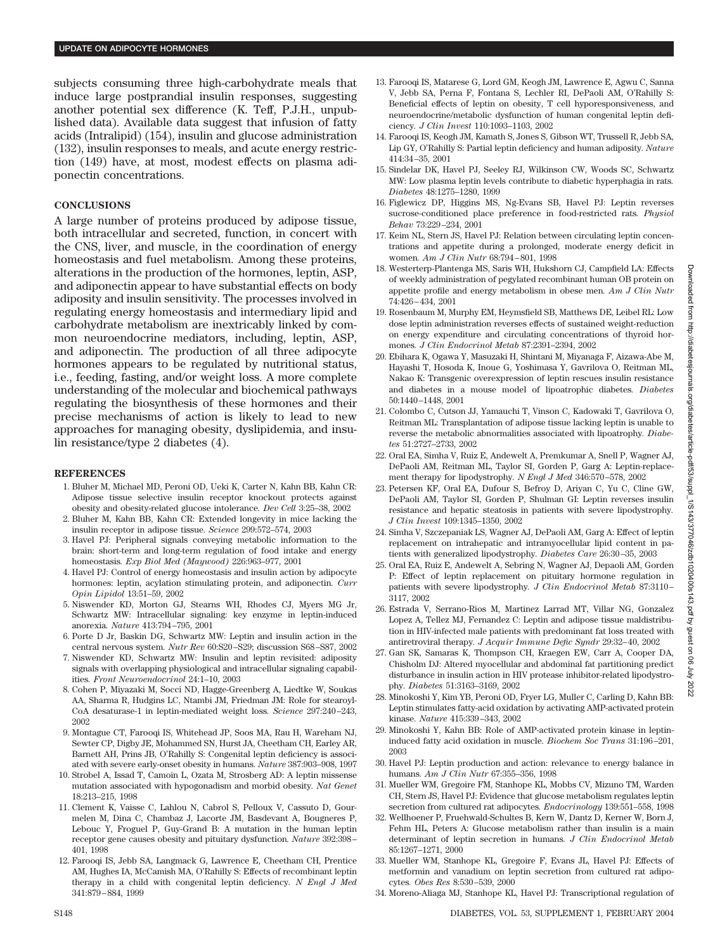subjects consuming three high-carbohydrate meals that induce large postprandial insulin responses, suggesting another potential sex difference (K. Teff, P.J.H., unpublished data). Available data suggest that infusion of fatty acids (Intralipid) (154), insulin and glucose administration (132), insulin responses to meals, and acute energy restriction (149) have, at most, modest effects on plasma adiponectin concentrations.

### **CONCLUSIONS**

A large number of proteins produced by adipose tissue, both intracellular and secreted, function, in concert with the CNS, liver, and muscle, in the coordination of energy homeostasis and fuel metabolism. Among these proteins, alterations in the production of the hormones, leptin, ASP, and adiponectin appear to have substantial effects on body adiposity and insulin sensitivity. The processes involved in regulating energy homeostasis and intermediary lipid and carbohydrate metabolism are inextricably linked by common neuroendocrine mediators, including, leptin, ASP, and adiponectin. The production of all three adipocyte hormones appears to be regulated by nutritional status, i.e., feeding, fasting, and/or weight loss. A more complete understanding of the molecular and biochemical pathways regulating the biosynthesis of these hormones and their precise mechanisms of action is likely to lead to new approaches for managing obesity, dyslipidemia, and insulin resistance/type 2 diabetes (4).

#### **REFERENCES**

- 1. Bluher M, Michael MD, Peroni OD, Ueki K, Carter N, Kahn BB, Kahn CR: Adipose tissue selective insulin receptor knockout protects against obesity and obesity-related glucose intolerance*. Dev Cell* 3:25–38, 2002
- 2. Bluher M, Kahn BB, Kahn CR: Extended longevity in mice lacking the insulin receptor in adipose tissue*. Science* 299:572–574, 2003
- 3. Havel PJ: Peripheral signals conveying metabolic information to the brain: short-term and long-term regulation of food intake and energy homeostasis*. Exp Biol Med (Maywood)* 226:963–977, 2001
- 4. Havel PJ: Control of energy homeostasis and insulin action by adipocyte hormones: leptin, acylation stimulating protein, and adiponectin*. Curr Opin Lipidol* 13:51–59, 2002
- 5. Niswender KD, Morton GJ, Stearns WH, Rhodes CJ, Myers MG Jr, Schwartz MW: Intracellular signaling: key enzyme in leptin-induced anorexia*. Nature* 413:794–795, 2001
- 6. Porte D Jr, Baskin DG, Schwartz MW: Leptin and insulin action in the central nervous system*. Nutr Rev* 60:S20–S29; discussion S68–S87, 2002
- 7. Niswender KD, Schwartz MW: Insulin and leptin revisited: adiposity signals with overlapping physiological and intracellular signaling capabilities*. Front Neuroendocrinol* 24:1–10, 2003
- 8. Cohen P, Miyazaki M, Socci ND, Hagge-Greenberg A, Liedtke W, Soukas AA, Sharma R, Hudgins LC, Ntambi JM, Friedman JM: Role for stearoyl-CoA desaturase-1 in leptin-mediated weight loss*. Science* 297:240–243, 2002
- 9. Montague CT, Farooqi IS, Whitehead JP, Soos MA, Rau H, Wareham NJ, Sewter CP, Digby JE, Mohammed SN, Hurst JA, Cheetham CH, Earley AR, Barnett AH, Prins JB, O'Rahilly S: Congenital leptin deficiency is associated with severe early-onset obesity in humans*. Nature* 387:903–908, 1997
- 10. Strobel A, Issad T, Camoin L, Ozata M, Strosberg AD: A leptin missense mutation associated with hypogonadism and morbid obesity*. Nat Genet* 18:213–215, 1998
- 11. Clement K, Vaisse C, Lahlou N, Cabrol S, Pelloux V, Cassuto D, Gourmelen M, Dina C, Chambaz J, Lacorte JM, Basdevant A, Bougneres P, Lebouc Y, Froguel P, Guy-Grand B: A mutation in the human leptin receptor gene causes obesity and pituitary dysfunction*. Nature* 392:398– 401, 1998
- 12. Farooqi IS, Jebb SA, Langmack G, Lawrence E, Cheetham CH, Prentice AM, Hughes IA, McCamish MA, O'Rahilly S: Effects of recombinant leptin therapy in a child with congenital leptin deficiency*. N Engl J Med* 341:879–884, 1999
- 13. Farooqi IS, Matarese G, Lord GM, Keogh JM, Lawrence E, Agwu C, Sanna V, Jebb SA, Perna F, Fontana S, Lechler RI, DePaoli AM, O'Rahilly S: Beneficial effects of leptin on obesity, T cell hyporesponsiveness, and neuroendocrine/metabolic dysfunction of human congenital leptin deficiency*. J Clin Invest* 110:1093–1103, 2002
- 14. Farooqi IS, Keogh JM, Kamath S, Jones S, Gibson WT, Trussell R, Jebb SA, Lip GY, O'Rahilly S: Partial leptin deficiency and human adiposity*. Nature* 414:34–35, 2001
- 15. Sindelar DK, Havel PJ, Seeley RJ, Wilkinson CW, Woods SC, Schwartz MW: Low plasma leptin levels contribute to diabetic hyperphagia in rats*. Diabetes* 48:1275–1280, 1999
- 16. Figlewicz DP, Higgins MS, Ng-Evans SB, Havel PJ: Leptin reverses sucrose-conditioned place preference in food-restricted rats*. Physiol Behav* 73:229–234, 2001
- 17. Keim NL, Stern JS, Havel PJ: Relation between circulating leptin concentrations and appetite during a prolonged, moderate energy deficit in women*. Am J Clin Nutr* 68:794–801, 1998
- 18. Westerterp-Plantenga MS, Saris WH, Hukshorn CJ, Campfield LA: Effects of weekly administration of pegylated recombinant human OB protein on appetite profile and energy metabolism in obese men*. Am J Clin Nutr* 74:426–434, 2001
- 19. Rosenbaum M, Murphy EM, Heymsfield SB, Matthews DE, Leibel RL: Low dose leptin administration reverses effects of sustained weight-reduction on energy expenditure and circulating concentrations of thyroid hormones*. J Clin Endocrinol Metab* 87:2391–2394, 2002
- 20. Ebihara K, Ogawa Y, Masuzaki H, Shintani M, Miyanaga F, Aizawa-Abe M, Hayashi T, Hosoda K, Inoue G, Yoshimasa Y, Gavrilova O, Reitman ML, Nakao K: Transgenic overexpression of leptin rescues insulin resistance and diabetes in a mouse model of lipoatrophic diabetes*. Diabetes* 50:1440–1448, 2001
- 21. Colombo C, Cutson JJ, Yamauchi T, Vinson C, Kadowaki T, Gavrilova O, Reitman ML: Transplantation of adipose tissue lacking leptin is unable to reverse the metabolic abnormalities associated with lipoatrophy*. Diabetes* 51:2727–2733, 2002
- 22. Oral EA, Simha V, Ruiz E, Andewelt A, Premkumar A, Snell P, Wagner AJ, DePaoli AM, Reitman ML, Taylor SI, Gorden P, Garg A: Leptin-replacement therapy for lipodystrophy*. N Engl J Med* 346:570–578, 2002
- 23. Petersen KF, Oral EA, Dufour S, Befroy D, Ariyan C, Yu C, Cline GW, DePaoli AM, Taylor SI, Gorden P, Shulman GI: Leptin reverses insulin resistance and hepatic steatosis in patients with severe lipodystrophy*. J Clin Invest* 109:1345–1350, 2002
- 24. Simha V, Szczepaniak LS, Wagner AJ, DePaoli AM, Garg A: Effect of leptin replacement on intrahepatic and intramyocellular lipid content in patients with generalized lipodystrophy*. Diabetes Care* 26:30–35, 2003
- 25. Oral EA, Ruiz E, Andewelt A, Sebring N, Wagner AJ, Depaoli AM, Gorden P: Effect of leptin replacement on pituitary hormone regulation in patients with severe lipodystrophy*. J Clin Endocrinol Metab* 87:3110– 3117, 2002
- 26. Estrada V, Serrano-Rios M, Martinez Larrad MT, Villar NG, Gonzalez Lopez A, Tellez MJ, Fernandez C: Leptin and adipose tissue maldistribution in HIV-infected male patients with predominant fat loss treated with antiretroviral therapy*. J Acquir Immune Defic Syndr* 29:32–40, 2002
- 27. Gan SK, Samaras K, Thompson CH, Kraegen EW, Carr A, Cooper DA, Chisholm DJ: Altered myocellular and abdominal fat partitioning predict disturbance in insulin action in HIV protease inhibitor-related lipodystrophy*. Diabetes* 51:3163–3169, 2002
- 28. Minokoshi Y, Kim YB, Peroni OD, Fryer LG, Muller C, Carling D, Kahn BB: Leptin stimulates fatty-acid oxidation by activating AMP-activated protein kinase*. Nature* 415:339–343, 2002
- 29. Minokoshi Y, Kahn BB: Role of AMP-activated protein kinase in leptininduced fatty acid oxidation in muscle*. Biochem Soc Trans* 31:196–201, 2003
- 30. Havel PJ: Leptin production and action: relevance to energy balance in humans*. Am J Clin Nutr* 67:355–356, 1998
- 31. Mueller WM, Gregoire FM, Stanhope KL, Mobbs CV, Mizuno TM, Warden CH, Stern JS, Havel PJ: Evidence that glucose metabolism regulates leptin secretion from cultured rat adipocytes*. Endocrinology* 139:551–558, 1998
- 32. Wellhoener P, Fruehwald-Schultes B, Kern W, Dantz D, Kerner W, Born J, Fehm HL, Peters A: Glucose metabolism rather than insulin is a main determinant of leptin secretion in humans*. J Clin Endocrinol Metab* 85:1267–1271, 2000
- 33. Mueller WM, Stanhope KL, Gregoire F, Evans JL, Havel PJ: Effects of metformin and vanadium on leptin secretion from cultured rat adipocytes*. Obes Res* 8:530–539, 2000
- 34. Moreno-Aliaga MJ, Stanhope KL, Havel PJ: Transcriptional regulation of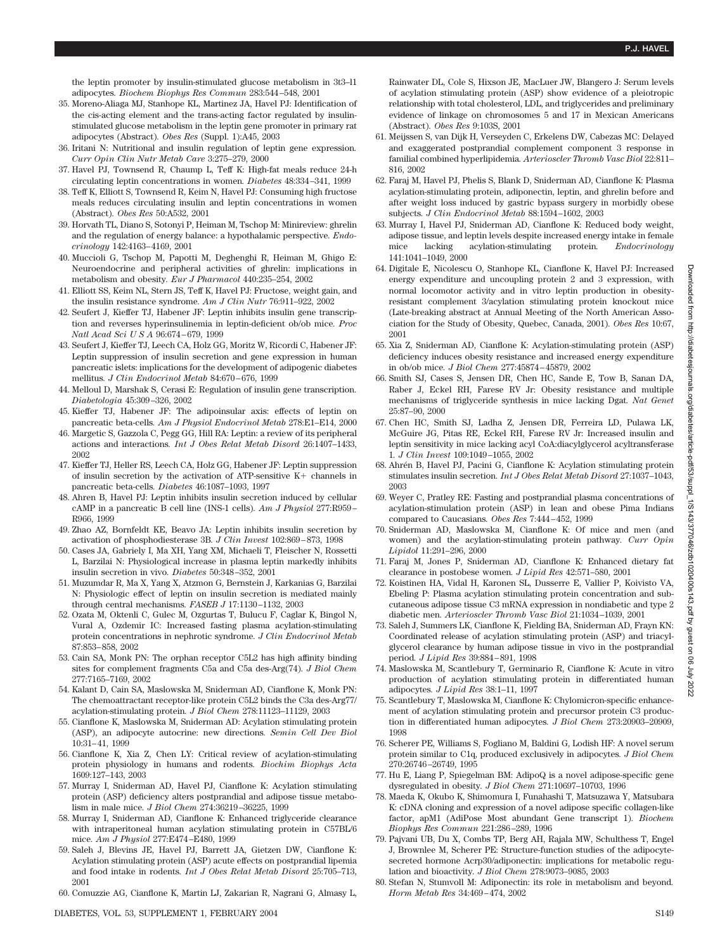the leptin promoter by insulin-stimulated glucose metabolism in 3t3–l1 adipocytes*. Biochem Biophys Res Commun* 283:544–548, 2001

- 35. Moreno-Aliaga MJ, Stanhope KL, Martinez JA, Havel PJ: Identification of the cis-acting element and the trans-acting factor regulated by insulinstimulated glucose metabolism in the leptin gene promoter in primary rat adipocytes (Abstract)*. Obes Res* (Suppl. 1):A45, 2003
- 36. Iritani N: Nutritional and insulin regulation of leptin gene expression*. Curr Opin Clin Nutr Metab Care* 3:275–279, 2000
- 37. Havel PJ, Townsend R, Chaump L, Teff K: High-fat meals reduce 24-h circulating leptin concentrations in women*. Diabetes* 48:334–341, 1999
- 38. Teff K, Elliott S, Townsend R, Keim N, Havel PJ: Consuming high fructose meals reduces circulating insulin and leptin concentrations in women (Abstract)*. Obes Res* 50:A532, 2001
- 39. Horvath TL, Diano S, Sotonyi P, Heiman M, Tschop M: Minireview: ghrelin and the regulation of energy balance: a hypothalamic perspective*. Endocrinology* 142:4163–4169, 2001
- 40. Muccioli G, Tschop M, Papotti M, Deghenghi R, Heiman M, Ghigo E: Neuroendocrine and peripheral activities of ghrelin: implications in metabolism and obesity*. Eur J Pharmacol* 440:235–254, 2002
- 41. Elliott SS, Keim NL, Stern JS, Teff K, Havel PJ: Fructose, weight gain, and the insulin resistance syndrome*. Am J Clin Nutr* 76:911–922, 2002
- 42. Seufert J, Kieffer TJ, Habener JF: Leptin inhibits insulin gene transcription and reverses hyperinsulinemia in leptin-deficient ob/ob mice*. Proc Natl Acad SciUSA* 96:674–679, 1999
- 43. Seufert J, Kieffer TJ, Leech CA, Holz GG, Moritz W, Ricordi C, Habener JF: Leptin suppression of insulin secretion and gene expression in human pancreatic islets: implications for the development of adipogenic diabetes mellitus*. J Clin Endocrinol Metab* 84:670–676, 1999
- 44. Melloul D, Marshak S, Cerasi E: Regulation of insulin gene transcription*. Diabetologia* 45:309–326, 2002
- 45. Kieffer TJ, Habener JF: The adipoinsular axis: effects of leptin on pancreatic beta-cells*. Am J Physiol Endocrinol Metab* 278:E1–E14, 2000
- 46. Margetic S, Gazzola C, Pegg GG, Hill RA: Leptin: a review of its peripheral actions and interactions*. Int J Obes Relat Metab Disord* 26:1407–1433, 2002
- 47. Kieffer TJ, Heller RS, Leech CA, Holz GG, Habener JF: Leptin suppression of insulin secretion by the activation of ATP-sensitive  $K<sup>+</sup>$  channels in pancreatic beta-cells*. Diabetes* 46:1087–1093, 1997
- 48. Ahren B, Havel PJ: Leptin inhibits insulin secretion induced by cellular cAMP in a pancreatic B cell line (INS-1 cells)*. Am J Physiol* 277:R959– R966, 1999
- 49. Zhao AZ, Bornfeldt KE, Beavo JA: Leptin inhibits insulin secretion by activation of phosphodiesterase 3B*. J Clin Invest* 102:869–873, 1998
- 50. Cases JA, Gabriely I, Ma XH, Yang XM, Michaeli T, Fleischer N, Rossetti L, Barzilai N: Physiological increase in plasma leptin markedly inhibits insulin secretion in vivo*. Diabetes* 50:348–352, 2001
- 51. Muzumdar R, Ma X, Yang X, Atzmon G, Bernstein J, Karkanias G, Barzilai N: Physiologic effect of leptin on insulin secretion is mediated mainly through central mechanisms*. FASEB J* 17:1130–1132, 2003
- 52. Ozata M, Oktenli C, Gulec M, Ozgurtas T, Bulucu F, Caglar K, Bingol N, Vural A, Ozdemir IC: Increased fasting plasma acylation-stimulating protein concentrations in nephrotic syndrome*. J Clin Endocrinol Metab* 87:853–858, 2002
- 53. Cain SA, Monk PN: The orphan receptor C5L2 has high affinity binding sites for complement fragments C5a and C5a des-Arg(74)*. J Biol Chem* 277:7165–7169, 2002
- 54. Kalant D, Cain SA, Maslowska M, Sniderman AD, Cianflone K, Monk PN: The chemoattractant receptor-like protein C5L2 binds the C3a des-Arg77/ acylation-stimulating protein*. J Biol Chem* 278:11123–11129, 2003
- 55. Cianflone K, Maslowska M, Sniderman AD: Acylation stimulating protein (ASP), an adipocyte autocrine: new directions*. Semin Cell Dev Biol* 10:31–41, 1999
- 56. Cianflone K, Xia Z, Chen LY: Critical review of acylation-stimulating protein physiology in humans and rodents*. Biochim Biophys Acta* 1609:127–143, 2003
- 57. Murray I, Sniderman AD, Havel PJ, Cianflone K: Acylation stimulating protein (ASP) deficiency alters postprandial and adipose tissue metabolism in male mice*. J Biol Chem* 274:36219–36225, 1999
- 58. Murray I, Sniderman AD, Cianflone K: Enhanced triglyceride clearance with intraperitoneal human acylation stimulating protein in C57BL/6 mice*. Am J Physiol* 277:E474–E480, 1999
- 59. Saleh J, Blevins JE, Havel PJ, Barrett JA, Gietzen DW, Cianflone K: Acylation stimulating protein (ASP) acute effects on postprandial lipemia and food intake in rodents*. Int J Obes Relat Metab Disord* 25:705–713, 2001
- 60. Comuzzie AG, Cianflone K, Martin LJ, Zakarian R, Nagrani G, Almasy L,

Rainwater DL, Cole S, Hixson JE, MacLuer JW, Blangero J: Serum levels of acylation stimulating protein (ASP) show evidence of a pleiotropic relationship with total cholesterol, LDL, and triglycerides and preliminary evidence of linkage on chromosomes 5 and 17 in Mexican Americans (Abstract)*. Obes Res* 9:103S, 2001

- 61. Meijssen S, van Dijk H, Verseyden C, Erkelens DW, Cabezas MC: Delayed and exaggerated postprandial complement component 3 response in familial combined hyperlipidemia*. Arterioscler Thromb Vasc Biol* 22:811– 816, 2002
- 62. Faraj M, Havel PJ, Phelis S, Blank D, Sniderman AD, Cianflone K: Plasma acylation-stimulating protein, adiponectin, leptin, and ghrelin before and after weight loss induced by gastric bypass surgery in morbidly obese subjects*. J Clin Endocrinol Metab* 88:1594–1602, 2003
- 63. Murray I, Havel PJ, Sniderman AD, Cianflone K: Reduced body weight, adipose tissue, and leptin levels despite increased energy intake in female<br>mice lacking acylation-stimulating protein. Endocrinology mice lacking acylation-stimulating protein. 141:1041–1049, 2000
- 64. Digitale E, Nicolescu O, Stanhope KL, Cianflone K, Havel PJ: Increased energy expenditure and uncoupling protein 2 and 3 expression, with normal locomotor activity and in vitro leptin production in obesityresistant complement 3/acylation stimulating protein knockout mice (Late-breaking abstract at Annual Meeting of the North American Association for the Study of Obesity, Quebec, Canada, 2001)*. Obes Res* 10:67, 2001
- 65. Xia Z, Sniderman AD, Cianflone K: Acylation-stimulating protein (ASP) deficiency induces obesity resistance and increased energy expenditure in ob/ob mice*. J Biol Chem* 277:45874–45879, 2002
- 66. Smith SJ, Cases S, Jensen DR, Chen HC, Sande E, Tow B, Sanan DA, Raber J, Eckel RH, Farese RV Jr: Obesity resistance and multiple mechanisms of triglyceride synthesis in mice lacking Dgat*. Nat Genet* 25:87–90, 2000
- 67. Chen HC, Smith SJ, Ladha Z, Jensen DR, Ferreira LD, Pulawa LK, McGuire JG, Pitas RE, Eckel RH, Farese RV Jr: Increased insulin and leptin sensitivity in mice lacking acyl CoA:diacylglycerol acyltransferase 1*. J Clin Invest* 109:1049–1055, 2002
- 68. Ahrén B, Havel PJ, Pacini G, Cianflone K: Acylation stimulating protein stimulates insulin secretion*. Int J Obes Relat Metab Disord* 27:1037–1043, 2003
- 69. Weyer C, Pratley RE: Fasting and postprandial plasma concentrations of acylation-stimulation protein (ASP) in lean and obese Pima Indians compared to Caucasians*. Obes Res* 7:444–452, 1999
- 70. Sniderman AD, Maslowska M, Cianflone K: Of mice and men (and women) and the acylation-stimulating protein pathway*. Curr Opin Lipidol* 11:291–296, 2000
- 71. Faraj M, Jones P, Sniderman AD, Cianflone K: Enhanced dietary fat clearance in postobese women*. J Lipid Res* 42:571–580, 2001
- 72. Koistinen HA, Vidal H, Karonen SL, Dusserre E, Vallier P, Koivisto VA, Ebeling P: Plasma acylation stimulating protein concentration and subcutaneous adipose tissue C3 mRNA expression in nondiabetic and type 2 diabetic men*. Arterioscler Thromb Vasc Biol* 21:1034–1039, 2001
- 73. Saleh J, Summers LK, Cianflone K, Fielding BA, Sniderman AD, Frayn KN: Coordinated release of acylation stimulating protein (ASP) and triacylglycerol clearance by human adipose tissue in vivo in the postprandial period*. J Lipid Res* 39:884–891, 1998
- 74. Maslowska M, Scantlebury T, Germinario R, Cianflone K: Acute in vitro production of acylation stimulating protein in differentiated human adipocytes*. J Lipid Res* 38:1–11, 1997
- 75. Scantlebury T, Maslowska M, Cianflone K: Chylomicron-specific enhancement of acylation stimulating protein and precursor protein C3 production in differentiated human adipocytes*. J Biol Chem* 273:20903–20909, 1998
- 76. Scherer PE, Williams S, Fogliano M, Baldini G, Lodish HF: A novel serum protein similar to C1q, produced exclusively in adipocytes*. J Biol Chem* 270:26746–26749, 1995
- 77. Hu E, Liang P, Spiegelman BM: AdipoQ is a novel adipose-specific gene dysregulated in obesity*. J Biol Chem* 271:10697–10703, 1996
- 78. Maeda K, Okubo K, Shimomura I, Funahashi T, Matsuzawa Y, Matsubara K: cDNA cloning and expression of a novel adipose specific collagen-like factor, apM1 (AdiPose Most abundant Gene transcript 1)*. Biochem Biophys Res Commun* 221:286–289, 1996
- 79. Pajvani UB, Du X, Combs TP, Berg AH, Rajala MW, Schulthess T, Engel J, Brownlee M, Scherer PE: Structure-function studies of the adipocytesecreted hormone Acrp30/adiponectin: implications for metabolic regulation and bioactivity*. J Biol Chem* 278:9073–9085, 2003
- 80. Stefan N, Stumvoll M: Adiponectin: its role in metabolism and beyond*. Horm Metab Res* 34:469–474, 2002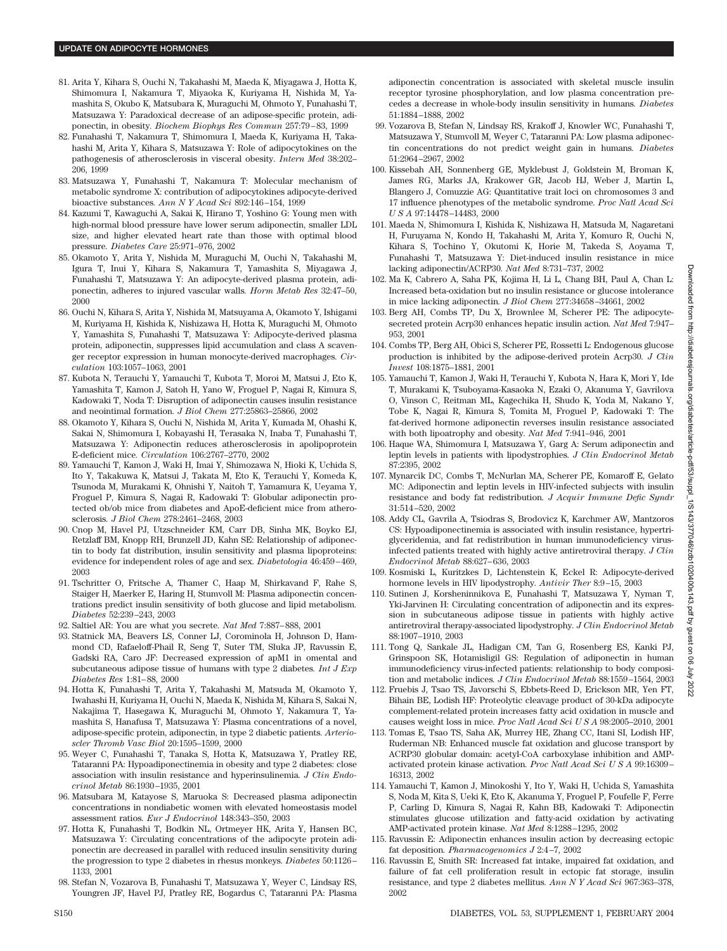- 81. Arita Y, Kihara S, Ouchi N, Takahashi M, Maeda K, Miyagawa J, Hotta K, Shimomura I, Nakamura T, Miyaoka K, Kuriyama H, Nishida M, Yamashita S, Okubo K, Matsubara K, Muraguchi M, Ohmoto Y, Funahashi T, Matsuzawa Y: Paradoxical decrease of an adipose-specific protein, adiponectin, in obesity*. Biochem Biophys Res Commun* 257:79–83, 1999
- 82. Funahashi T, Nakamura T, Shimomura I, Maeda K, Kuriyama H, Takahashi M, Arita Y, Kihara S, Matsuzawa Y: Role of adipocytokines on the pathogenesis of atherosclerosis in visceral obesity*. Intern Med* 38:202– 206, 1999
- 83. Matsuzawa Y, Funahashi T, Nakamura T: Molecular mechanism of metabolic syndrome X: contribution of adipocytokines adipocyte-derived bioactive substances*. Ann N Y Acad Sci* 892:146–154, 1999
- 84. Kazumi T, Kawaguchi A, Sakai K, Hirano T, Yoshino G: Young men with high-normal blood pressure have lower serum adiponectin, smaller LDL size, and higher elevated heart rate than those with optimal blood pressure*. Diabetes Care* 25:971–976, 2002
- 85. Okamoto Y, Arita Y, Nishida M, Muraguchi M, Ouchi N, Takahashi M, Igura T, Inui Y, Kihara S, Nakamura T, Yamashita S, Miyagawa J, Funahashi T, Matsuzawa Y: An adipocyte-derived plasma protein, adiponectin, adheres to injured vascular walls*. Horm Metab Res* 32:47–50, 2000
- 86. Ouchi N, Kihara S, Arita Y, Nishida M, Matsuyama A, Okamoto Y, Ishigami M, Kuriyama H, Kishida K, Nishizawa H, Hotta K, Muraguchi M, Ohmoto Y, Yamashita S, Funahashi T, Matsuzawa Y: Adipocyte-derived plasma protein, adiponectin, suppresses lipid accumulation and class A scavenger receptor expression in human monocyte-derived macrophages*. Circulation* 103:1057–1063, 2001
- 87. Kubota N, Terauchi Y, Yamauchi T, Kubota T, Moroi M, Matsui J, Eto K, Yamashita T, Kamon J, Satoh H, Yano W, Froguel P, Nagai R, Kimura S, Kadowaki T, Noda T: Disruption of adiponectin causes insulin resistance and neointimal formation*. J Biol Chem* 277:25863–25866, 2002
- 88. Okamoto Y, Kihara S, Ouchi N, Nishida M, Arita Y, Kumada M, Ohashi K, Sakai N, Shimomura I, Kobayashi H, Terasaka N, Inaba T, Funahashi T, Matsuzawa Y: Adiponectin reduces atherosclerosis in apolipoprotein E-deficient mice*. Circulation* 106:2767–2770, 2002
- 89. Yamauchi T, Kamon J, Waki H, Imai Y, Shimozawa N, Hioki K, Uchida S, Ito Y, Takakuwa K, Matsui J, Takata M, Eto K, Terauchi Y, Komeda K, Tsunoda M, Murakami K, Ohnishi Y, Naitoh T, Yamamura K, Ueyama Y, Froguel P, Kimura S, Nagai R, Kadowaki T: Globular adiponectin protected ob/ob mice from diabetes and ApoE-deficient mice from atherosclerosis*. J Biol Chem* 278:2461–2468, 2003
- 90. Cnop M, Havel PJ, Utzschneider KM, Carr DB, Sinha MK, Boyko EJ, Retzlaff BM, Knopp RH, Brunzell JD, Kahn SE: Relationship of adiponectin to body fat distribution, insulin sensitivity and plasma lipoproteins: evidence for independent roles of age and sex*. Diabetologia* 46:459–469, 2003
- 91. Tschritter O, Fritsche A, Thamer C, Haap M, Shirkavand F, Rahe S, Staiger H, Maerker E, Haring H, Stumvoll M: Plasma adiponectin concentrations predict insulin sensitivity of both glucose and lipid metabolism*. Diabetes* 52:239–243, 2003
- 92. Saltiel AR: You are what you secrete*. Nat Med* 7:887–888, 2001
- 93. Statnick MA, Beavers LS, Conner LJ, Corominola H, Johnson D, Hammond CD, Rafaeloff-Phail R, Seng T, Suter TM, Sluka JP, Ravussin E, Gadski RA, Caro JF: Decreased expression of apM1 in omental and subcutaneous adipose tissue of humans with type 2 diabetes*. Int J Exp Diabetes Res* 1:81–88, 2000
- 94. Hotta K, Funahashi T, Arita Y, Takahashi M, Matsuda M, Okamoto Y, Iwahashi H, Kuriyama H, Ouchi N, Maeda K, Nishida M, Kihara S, Sakai N, Nakajima T, Hasegawa K, Muraguchi M, Ohmoto Y, Nakamura T, Yamashita S, Hanafusa T, Matsuzawa Y: Plasma concentrations of a novel, adipose-specific protein, adiponectin, in type 2 diabetic patients*. Arterioscler Thromb Vasc Biol* 20:1595–1599, 2000
- 95. Weyer C, Funahashi T, Tanaka S, Hotta K, Matsuzawa Y, Pratley RE, Tataranni PA: Hypoadiponectinemia in obesity and type 2 diabetes: close association with insulin resistance and hyperinsulinemia*. J Clin Endocrinol Metab* 86:1930–1935, 2001
- 96. Matsubara M, Katayose S, Maruoka S: Decreased plasma adiponectin concentrations in nondiabetic women with elevated homeostasis model assessment ratios*. Eur J Endocrinol* 148:343–350, 2003
- 97. Hotta K, Funahashi T, Bodkin NL, Ortmeyer HK, Arita Y, Hansen BC, Matsuzawa Y: Circulating concentrations of the adipocyte protein adiponectin are decreased in parallel with reduced insulin sensitivity during the progression to type 2 diabetes in rhesus monkeys*. Diabetes* 50:1126– 1133, 2001
- 98. Stefan N, Vozarova B, Funahashi T, Matsuzawa Y, Weyer C, Lindsay RS, Youngren JF, Havel PJ, Pratley RE, Bogardus C, Tataranni PA: Plasma

adiponectin concentration is associated with skeletal muscle insulin receptor tyrosine phosphorylation, and low plasma concentration precedes a decrease in whole-body insulin sensitivity in humans*. Diabetes* 51:1884–1888, 2002

- 99. Vozarova B, Stefan N, Lindsay RS, Krakoff J, Knowler WC, Funahashi T, Matsuzawa Y, Stumvoll M, Weyer C, Tataranni PA: Low plasma adiponectin concentrations do not predict weight gain in humans*. Diabetes* 51:2964–2967, 2002
- 100. Kissebah AH, Sonnenberg GE, Myklebust J, Goldstein M, Broman K, James RG, Marks JA, Krakower GR, Jacob HJ, Weber J, Martin L, Blangero J, Comuzzie AG: Quantitative trait loci on chromosomes 3 and 17 influence phenotypes of the metabolic syndrome*. Proc Natl Acad Sci USA* 97:14478–14483, 2000
- 101. Maeda N, Shimomura I, Kishida K, Nishizawa H, Matsuda M, Nagaretani H, Furuyama N, Kondo H, Takahashi M, Arita Y, Komuro R, Ouchi N, Kihara S, Tochino Y, Okutomi K, Horie M, Takeda S, Aoyama T, Funahashi T, Matsuzawa Y: Diet-induced insulin resistance in mice lacking adiponectin/ACRP30*. Nat Med* 8:731–737, 2002
- 102. Ma K, Cabrero A, Saha PK, Kojima H, Li L, Chang BH, Paul A, Chan L: Increased beta-oxidation but no insulin resistance or glucose intolerance in mice lacking adiponectin*. J Biol Chem* 277:34658–34661, 2002
- 103. Berg AH, Combs TP, Du X, Brownlee M, Scherer PE: The adipocytesecreted protein Acrp30 enhances hepatic insulin action*. Nat Med* 7:947– 953, 2001
- 104. Combs TP, Berg AH, Obici S, Scherer PE, Rossetti L: Endogenous glucose production is inhibited by the adipose-derived protein Acrp30*. J Clin Invest* 108:1875–1881, 2001
- 105. Yamauchi T, Kamon J, Waki H, Terauchi Y, Kubota N, Hara K, Mori Y, Ide T, Murakami K, Tsuboyama-Kasaoka N, Ezaki O, Akanuma Y, Gavrilova O, Vinson C, Reitman ML, Kagechika H, Shudo K, Yoda M, Nakano Y, Tobe K, Nagai R, Kimura S, Tomita M, Froguel P, Kadowaki T: The fat-derived hormone adiponectin reverses insulin resistance associated with both lipoatrophy and obesity*. Nat Med* 7:941–946, 2001
- 106. Haque WA, Shimomura I, Matsuzawa Y, Garg A: Serum adiponectin and leptin levels in patients with lipodystrophies*. J Clin Endocrinol Metab* 87:2395, 2002
- 107. Mynarcik DC, Combs T, McNurlan MA, Scherer PE, Komaroff E, Gelato MC: Adiponectin and leptin levels in HIV-infected subjects with insulin resistance and body fat redistribution*. J Acquir Immune Defic Syndr* 31:514–520, 2002
- 108. Addy CL, Gavrila A, Tsiodras S, Brodovicz K, Karchmer AW, Mantzoros CS: Hypoadiponectinemia is associated with insulin resistance, hypertriglyceridemia, and fat redistribution in human immunodeficiency virusinfected patients treated with highly active antiretroviral therapy*. J Clin Endocrinol Metab* 88:627–636, 2003
- 109. Kosmiski L, Kuritzkes D, Lichtenstein K, Eckel R: Adipocyte-derived hormone levels in HIV lipodystrophy*. Antivir Ther* 8:9–15, 2003
- 110. Sutinen J, Korsheninnikova E, Funahashi T, Matsuzawa Y, Nyman T, Yki-Jarvinen H: Circulating concentration of adiponectin and its expression in subcutaneous adipose tissue in patients with highly active antiretroviral therapy-associated lipodystrophy*. J Clin Endocrinol Metab* 88:1907–1910, 2003
- 111. Tong Q, Sankale JL, Hadigan CM, Tan G, Rosenberg ES, Kanki PJ, Grinspoon SK, Hotamisligil GS: Regulation of adiponectin in human immunodeficiency virus-infected patients: relationship to body composition and metabolic indices*. J Clin Endocrinol Metab* 88:1559–1564, 2003
- 112. Fruebis J, Tsao TS, Javorschi S, Ebbets-Reed D, Erickson MR, Yen FT, Bihain BE, Lodish HF: Proteolytic cleavage product of 30-kDa adipocyte complement-related protein increases fatty acid oxidation in muscle and causes weight loss in mice*. Proc Natl Acad SciUSA* 98:2005–2010, 2001
- 113. Tomas E, Tsao TS, Saha AK, Murrey HE, Zhang CC, Itani SI, Lodish HF, Ruderman NB: Enhanced muscle fat oxidation and glucose transport by ACRP30 globular domain: acetyl-CoA carboxylase inhibition and AMPactivated protein kinase activation*. Proc Natl Acad SciUSA* 99:16309– 16313, 2002
- 114. Yamauchi T, Kamon J, Minokoshi Y, Ito Y, Waki H, Uchida S, Yamashita S, Noda M, Kita S, Ueki K, Eto K, Akanuma Y, Froguel P, Foufelle F, Ferre P, Carling D, Kimura S, Nagai R, Kahn BB, Kadowaki T: Adiponectin stimulates glucose utilization and fatty-acid oxidation by activating AMP-activated protein kinase*. Nat Med* 8:1288–1295, 2002
- 115. Ravussin E: Adiponectin enhances insulin action by decreasing ectopic fat deposition*. Pharmacogenomics J* 2:4–7, 2002
- 116. Ravussin E, Smith SR: Increased fat intake, impaired fat oxidation, and failure of fat cell proliferation result in ectopic fat storage, insulin resistance, and type 2 diabetes mellitus*. Ann N Y Acad Sci* 967:363–378, 2002